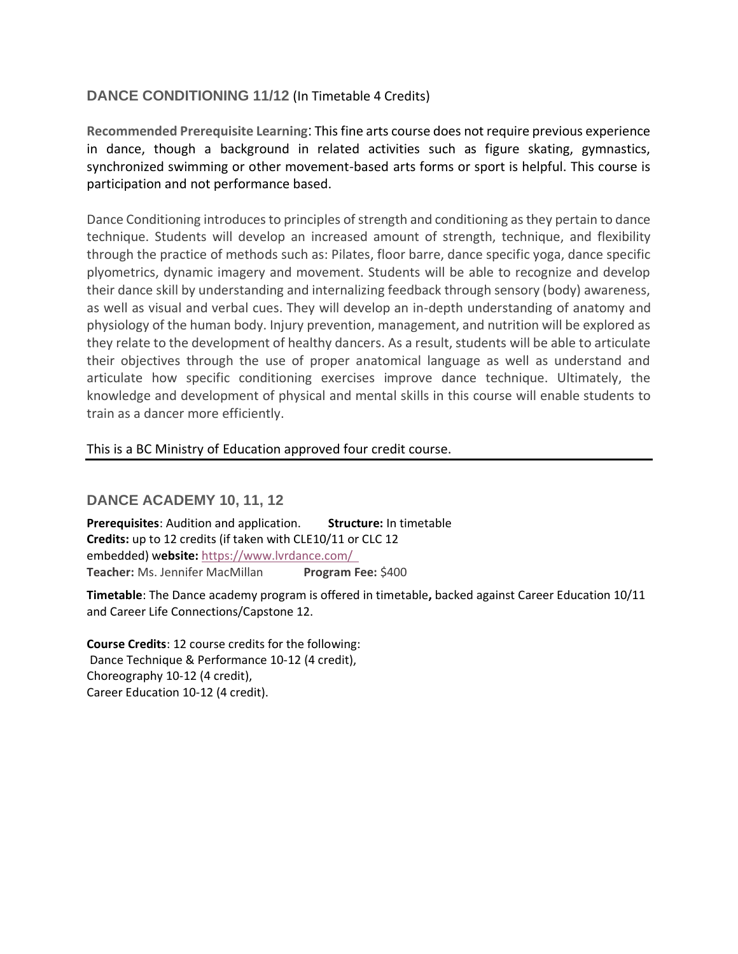# **DANCE CONDITIONING 11/12** (In Timetable 4 Credits)

**Recommended Prerequisite Learning**: This fine arts course does not require previous experience in dance, though a background in related activities such as figure skating, gymnastics, synchronized swimming or other movement-based arts forms or sport is helpful. This course is participation and not performance based.

Dance Conditioning introduces to principles of strength and conditioning as they pertain to dance technique. Students will develop an increased amount of strength, technique, and flexibility through the practice of methods such as: Pilates, floor barre, dance specific yoga, dance specific plyometrics, dynamic imagery and movement. Students will be able to recognize and develop their dance skill by understanding and internalizing feedback through sensory (body) awareness, as well as visual and verbal cues. They will develop an in-depth understanding of anatomy and physiology of the human body. Injury prevention, management, and nutrition will be explored as they relate to the development of healthy dancers. As a result, students will be able to articulate their objectives through the use of proper anatomical language as well as understand and articulate how specific conditioning exercises improve dance technique. Ultimately, the knowledge and development of physical and mental skills in this course will enable students to train as a dancer more efficiently.

#### This is a BC Ministry of Education approved four credit course.

## **DANCE ACADEMY 10, 11, 12**

**Prerequisites**: Audition and application.         **Structure:** In timetable **Credits:** up to 12 credits (if taken with CLE10/11 or CLC 12 embedded) w**ebsite:** <https://www.lvrdance.com/> **Teacher:** Ms. Jennifer MacMillan **Program Fee:** \$400

**Timetable**: The Dance academy program is offered in timetable**,** backed against Career Education 10/11 and Career Life Connections/Capstone 12.

**Course Credits**: 12 course credits for the following: Dance Technique & Performance 10-12 (4 credit), Choreography 10-12 (4 credit), Career Education 10-12 (4 credit).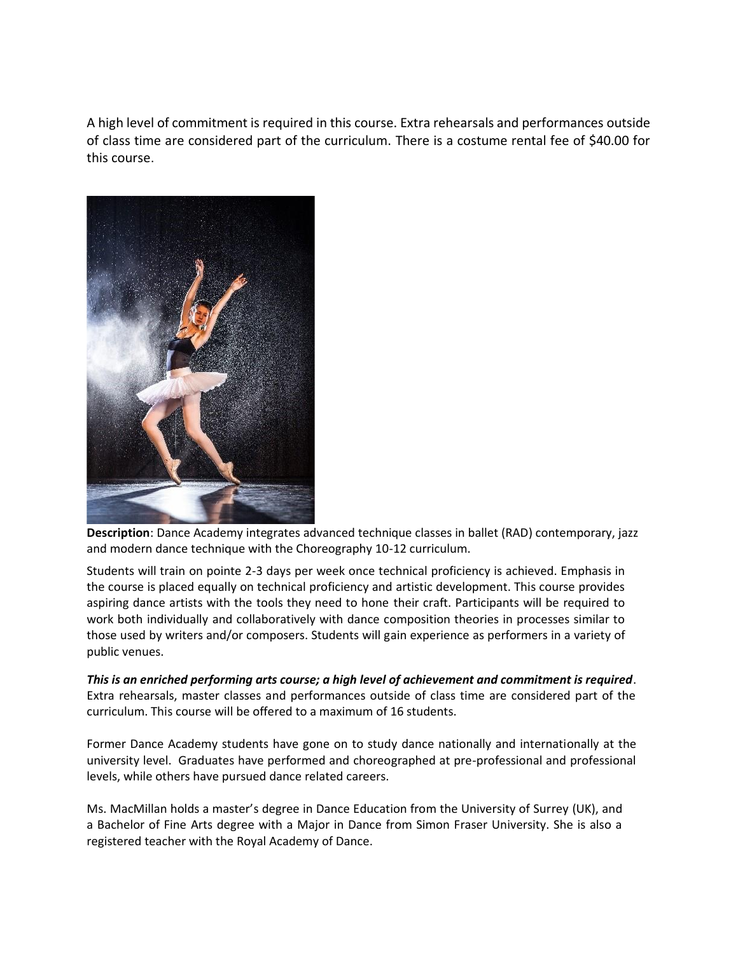A high level of commitment is required in this course. Extra rehearsals and performances outside of class time are considered part of the curriculum. There is a costume rental fee of \$40.00 for this course.



**Description**: Dance Academy integrates advanced technique classes in ballet (RAD) contemporary, jazz and modern dance technique with the Choreography 10-12 curriculum.

Students will train on pointe 2-3 days per week once technical proficiency is achieved. Emphasis in the course is placed equally on technical proficiency and artistic development. This course provides aspiring dance artists with the tools they need to hone their craft. Participants will be required to work both individually and collaboratively with dance composition theories in processes similar to those used by writers and/or composers. Students will gain experience as performers in a variety of public venues.

*This is an enriched performing arts course; a high level of achievement and commitment is required*. Extra rehearsals, master classes and performances outside of class time are considered part of the curriculum. This course will be offered to a maximum of 16 students.

Former Dance Academy students have gone on to study dance nationally and internationally at the university level. Graduates have performed and choreographed at pre-professional and professional levels, while others have pursued dance related careers.

Ms. MacMillan holds a master's degree in Dance Education from the University of Surrey (UK), and a Bachelor of Fine Arts degree with a Major in Dance from Simon Fraser University. She is also a registered teacher with the Royal Academy of Dance.